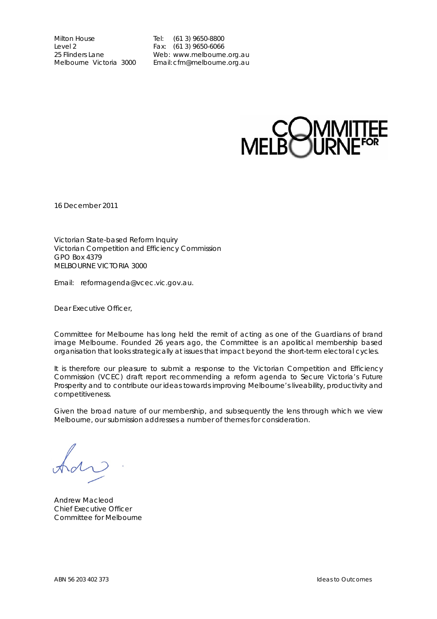Milton House Tel: (61 3) 9650-8800 Level 2<br>
25 Flinders Lane<br>
25 Flinders Lane<br>
25 Flinders Lane<br>
26 Neb: www.melbourne

25 Flinders Lane **Web:** www.melbourne.org.au<br>
Melbourne Victoria 3000 Fmail: cfm@melbourne.org.au Email: cfm@melbourne.org.au



16 December 2011

Victorian State-based Reform lnquiry Victorian Competition and Efficiency Commission GPO Box 4379 MELBOURNE VICTORIA 3000

Email: reformagenda@vcec.vic.gov.au.

Dear Executive Officer,

Committee for Melbourne has long held the remit of acting as one of the Guardians of brand image Melbourne. Founded 26 years ago, the Committee is an apolitical membership based organisation that looks strategically at issues that impact beyond the short-term electoral cycles.

It is therefore our pleasure to submit a response to the Victorian Competition and Efficiency Commission (VCEC) draft report recommending a reform agenda to Secure Victoria's Future Prosperity and to contribute our ideas towards improving Melbourne's liveability, productivity and competitiveness.

Given the broad nature of our membership, and subsequently the lens through which we view Melbourne, our submission addresses a number of themes for consideration.

Andrew Macleod Chief Executive Officer Committee for Melbourne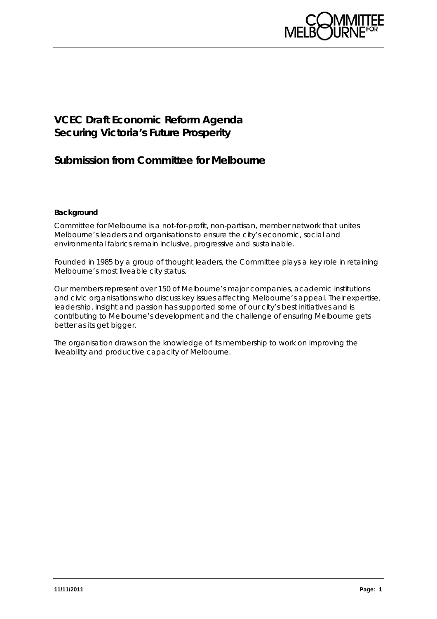

# **VCEC Draft Economic Reform Agenda Securing Victoria's Future Prosperity**

# **Submission from Committee for Melbourne**

## **Background**

Committee for Melbourne is a not-for-profit, non-partisan, member network that unites Melbourne's leaders and organisations to ensure the city's economic, social and environmental fabrics remain inclusive, progressive and sustainable.

Founded in 1985 by a group of thought leaders, the Committee plays a key role in retaining Melbourne's most liveable city status.

Our members represent over 150 of Melbourne's major companies, academic institutions and civic organisations who discuss key issues affecting Melbourne's appeal. Their expertise, leadership, insight and passion has supported some of our city's best initiatives and is contributing to Melbourne's development and the challenge of ensuring Melbourne gets better as its get bigger.

The organisation draws on the knowledge of its membership to work on improving the liveability and productive capacity of Melbourne.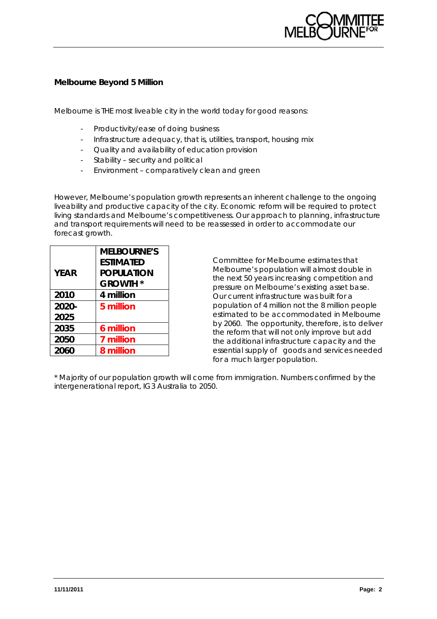

# **Melbourne Beyond 5 Million**

Melbourne is THE most liveable city in the world today for good reasons:

- Productivity/ease of doing business
- Infrastructure adequacy, that is, utilities, transport, housing mix
- Quality and availability of education provision
- Stability security and political
- Environment comparatively clean and green

However, Melbourne's population growth represents an inherent challenge to the ongoing liveability and productive capacity of the city. Economic reform will be required to protect living standards and Melbourne's competitiveness. Our approach to planning, infrastructure and transport requirements will need to be reassessed in order to accommodate our forecast growth.

|             | <b>MELBOURNE'S</b> |
|-------------|--------------------|
|             | <b>ESTIMATED</b>   |
| <b>YEAR</b> | <b>POPULATION</b>  |
|             | <b>GROWTH *</b>    |
| 2010        | 4 million          |
| 2020-       | 5 million          |
| 2025        |                    |
| 2035        | 6 million          |
| 2050        | 7 million          |
| 2060        | 8 million          |

Committee for Melbourne estimates that Melbourne's population will almost double in the next 50 years increasing competition and pressure on Melbourne's existing asset base. Our current infrastructure was built for a population of 4 million not the 8 million people estimated to be accommodated in Melbourne by 2060. The opportunity, therefore, is to deliver the reform that will not only improve but add the additional infrastructure capacity and the essential supply of goods and services needed for a much larger population.

\* Majority of our population growth will come from immigration. Numbers confirmed by the intergenerational report, IG3 Australia to 2050.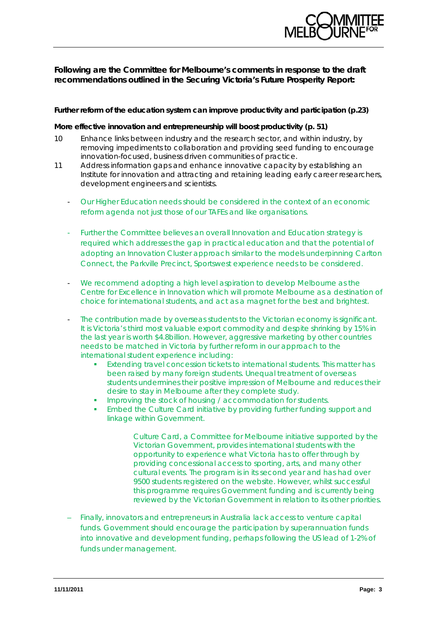

# **Following are the Committee for Melbourne's comments in response to the draft recommendations outlined in the Securing Victoria's Future Prosperity Report:**

### **Further reform of the education system can improve productivity and participation (p.23)**

## **More effective innovation and entrepreneurship will boost productivity (p. 51)**

- 10 Enhance links between industry and the research sector, and within industry, by removing impediments to collaboration and providing seed funding to encourage innovation-focused, business driven communities of practice.
- 11 Address information gaps and enhance innovative capacity by establishing an Institute for innovation and attracting and retaining leading early career researchers, development engineers and scientists.
	- Our Higher Education needs should be considered in the context of an economic reform agenda not just those of our TAFEs and like organisations.
	- Further the Committee believes an overall Innovation and Education strategy is required which addresses the gap in practical education and that the potential of adopting an Innovation Cluster approach similar to the models underpinning Carlton Connect, the Parkville Precinct, Sportswest experience needs to be considered.
	- We recommend adopting a high level aspiration to develop Melbourne as the Centre for Excellence in Innovation which will promote Melbourne as a destination of choice for international students, and act as a magnet for the best and brightest.
	- The contribution made by overseas students to the Victorian economy is significant. It is Victoria's third most valuable export commodity and despite shrinking by 15% in the last year is worth \$4.8billion. However, aggressive marketing by other countries needs to be matched in Victoria by further reform in our approach to the international student experience including:
		- **Extending travel concession tickets to international students. This matter has** been raised by many foreign students. Unequal treatment of overseas students undermines their positive impression of Melbourne and reduces their desire to stay in Melbourne after they complete study.
		- **IMPROVING the stock of housing / accommodation for students.**
		- **Embed the Culture Card initiative by providing further funding support and** linkage within Government.

Culture Card, a Committee for Melbourne initiative supported by the Victorian Government, provides international students with the opportunity to experience what Victoria has to offer through by providing concessional access to sporting, arts, and many other cultural events. The program is in its second year and has had over 9500 students registered on the website. However, whilst successful this programme requires Government funding and is currently being reviewed by the Victorian Government in relation to its other priorities.

– Finally, innovators and entrepreneurs in Australia lack access to venture capital funds. Government should encourage the participation by superannuation funds into innovative and development funding, perhaps following the US lead of 1-2% of funds under management.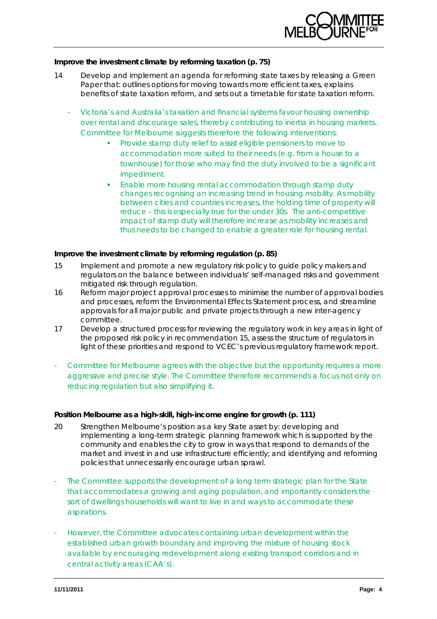

#### **Improve the investment climate by reforming taxation (p. 75)**

- 14 Develop and implement an agenda for reforming state taxes by releasing a Green Paper that: outlines options for moving towards more efficient taxes, explains benefits of state taxation reform, and sets out a timetable for state taxation reform.
	- Victoria's and Australia's taxation and financial systems favour housing ownership over rental and discourage sales, thereby contributing to inertia in housing markets.. Committee for Melbourne suggests therefore the following interventions:
		- Provide stamp duty relief to assist eligible pensioners to move to accommodation more suited to their needs (e.g. from a house to a townhouse) for those who may find the duty involved to be a significant impediment.
		- Enable more housing rental accommodation through stamp duty changes recognising an increasing trend in housing mobility. As mobility between cities and countries increases, the holding time of property will reduce – this is especially true for the under 30s. The anti-competitive impact of stamp duty will therefore increase as mobility increases and thus needs to be changed to enable a greater role for housing rental.

#### **Improve the investment climate by reforming regulation (p. 85)**

- 15 Implement and promote a new regulatory risk policy to guide policy makers and regulators on the balance between individuals' self-managed risks and government mitigated risk through regulation.
- 16 Reform major project approval processes to minimise the number of approval bodies and processes, reform the Environmental Effects Statement process, and streamline approvals for all major public and private projects through a new inter-agency committee.
- 17 Develop a structured process for reviewing the regulatory work in key areas in light of the proposed risk policy in recommendation 15, assess the structure of regulators in light of these priorities and respond to VCEC's previous regulatory framework report.
- Committee for Melbourne agrees with the objective but the opportunity requires a more aggressive and precise style. The Committee therefore recommends a focus not only on reducing regulation but also simplifying it.

### **Position Melbourne as a high-skill, high-income engine for growth (p. 111)**

- 20 Strengthen Melbourne's position as a key State asset by: developing and implementing a long-term strategic planning framework which is supported by the community and enables the city to grow in ways that respond to demands of the market and invest in and use infrastructure efficiently; and identifying and reforming policies that unnecessarily encourage urban sprawl.
- The Committee supports the development of a long term strategic plan for the State that accommodates a growing and aging population, and importantly considers the sort of dwellings households will want to live in and ways to accommodate these aspirations.
- However, the Committee advocates containing urban development within the established urban growth boundary and improving the mixture of housing stock available by encouraging redevelopment along existing transport corridors and in central activity areas (CAA's).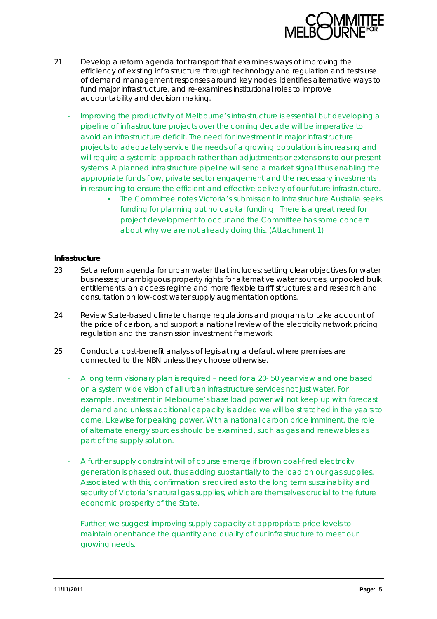

- 21 Develop a reform agenda for transport that examines ways of improving the efficiency of existing infrastructure through technology and regulation and tests use of demand management responses around key nodes, identifies alternative ways to fund major infrastructure, and re-examines institutional roles to improve accountability and decision making.
	- Improving the productivity of Melbourne's infrastructure is essential but developing a pipeline of infrastructure projects over the coming decade will be imperative to avoid an infrastructure deficit. The need for investment in major infrastructure projects to adequately service the needs of a growing population is increasing and will require a systemic approach rather than adjustments or extensions to our present systems. A planned infrastructure pipeline will send a market signal thus enabling the appropriate funds flow, private sector engagement and the necessary investments in resourcing to ensure the efficient and effective delivery of our future infrastructure.
		- The Committee notes Victoria's submission to Infrastructure Australia seeks funding for planning but no capital funding. There is a great need for project development to occur and the Committee has some concern about why we are not already doing this. (Attachment 1)

#### **Infrastructure**

- 23 Set a reform agenda for urban water that includes: setting clear objectives for water businesses; unambiguous property rights for alternative water sources, unpooled bulk entitlements, an access regime and more flexible tariff structures; and research and consultation on low-cost water supply augmentation options.
- 24 Review State-based climate change regulations and programs to take account of the price of carbon, and support a national review of the electricity network pricing regulation and the transmission investment framework.
- 25 Conduct a cost-benefit analysis of legislating a default where premises are connected to the NBN unless they choose otherwise.
	- A long term visionary plan is required need for a 20- 50 year view and one based on a system wide vision of all urban infrastructure services not just water. For example, investment in Melbourne's base load power will not keep up with forecast demand and unless additional capacity is added we will be stretched in the years to come. Likewise for peaking power. With a national carbon price imminent, the role of alternate energy sources should be examined, such as gas and renewables as part of the supply solution.
	- A further supply constraint will of course emerge if brown coal-fired electricity generation is phased out, thus adding substantially to the load on our gas supplies. Associated with this, confirmation is required as to the long term sustainability and security of Victoria's natural gas supplies, which are themselves crucial to the future economic prosperity of the State.
	- Further, we suggest improving supply capacity at appropriate price levels to maintain or enhance the quantity and quality of our infrastructure to meet our growing needs.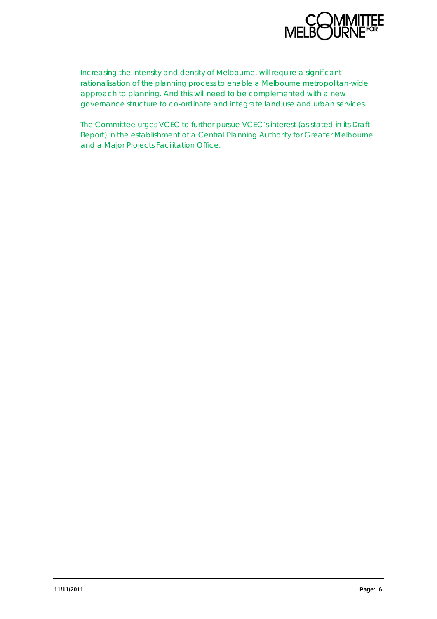

- Increasing the intensity and density of Melbourne, will require a significant rationalisation of the planning process to enable a Melbourne metropolitan-wide approach to planning. And this will need to be complemented with a new governance structure to co-ordinate and integrate land use and urban services.
- The Committee urges VCEC to further pursue VCEC's interest (as stated in its Draft Report) in the establishment of a Central Planning Authority for Greater Melbourne and a Major Projects Facilitation Office.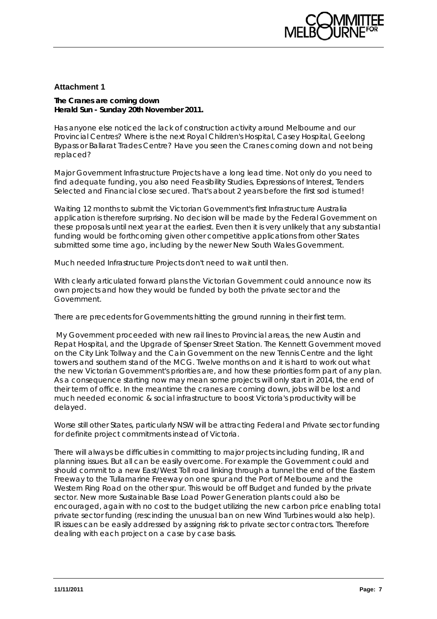

## **Attachment 1**

#### **The Cranes are coming down Herald Sun - Sunday 20th November 2011.**

Has anyone else noticed the lack of construction activity around Melbourne and our Provincial Centres? Where is the next Royal Children's Hospital, Casey Hospital, Geelong Bypass or Ballarat Trades Centre? Have you seen the Cranes coming down and not being replaced?

Major Government Infrastructure Projects have a long lead time. Not only do you need to find adequate funding, you also need Feasibility Studies, Expressions of Interest, Tenders Selected and Financial close secured. That's about 2 years before the first sod is turned!

Waiting 12 months to submit the Victorian Government's first Infrastructure Australia application is therefore surprising. No decision will be made by the Federal Government on these proposals until next year at the earliest. Even then it is very unlikely that any substantial funding would be forthcoming given other competitive applications from other States submitted some time ago, including by the newer New South Wales Government.

Much needed Infrastructure Projects don't need to wait until then.

With clearly articulated forward plans the Victorian Government could announce now its own projects and how they would be funded by both the private sector and the Government.

There are precedents for Governments hitting the ground running in their first term.

 My Government proceeded with new rail lines to Provincial areas, the new Austin and Repat Hospital, and the Upgrade of Spenser Street Station. The Kennett Government moved on the City Link Tollway and the Cain Government on the new Tennis Centre and the light towers and southern stand of the MCG. Twelve months on and it is hard to work out what the new Victorian Government's priorities are, and how these priorities form part of any plan. As a consequence starting now may mean some projects will only start in 2014, the end of their term of office. In the meantime the cranes are coming down, jobs will be lost and much needed economic & social infrastructure to boost Victoria's productivity will be delayed.

Worse still other States, particularly NSW will be attracting Federal and Private sector funding for definite project commitments instead of Victoria.

There will always be difficulties in committing to major projects including funding, IR and planning issues. But all can be easily overcome. For example the Government could and should commit to a new East/West Toll road linking through a tunnel the end of the Eastern Freeway to the Tullamarine Freeway on one spur and the Port of Melbourne and the Western Ring Road on the other spur. This would be off Budget and funded by the private sector. New more Sustainable Base Load Power Generation plants could also be encouraged, again with no cost to the budget utilizing the new carbon price enabling total private sector funding (rescinding the unusual ban on new Wind Turbines would also help). IR issues can be easily addressed by assigning risk to private sector contractors. Therefore dealing with each project on a case by case basis.